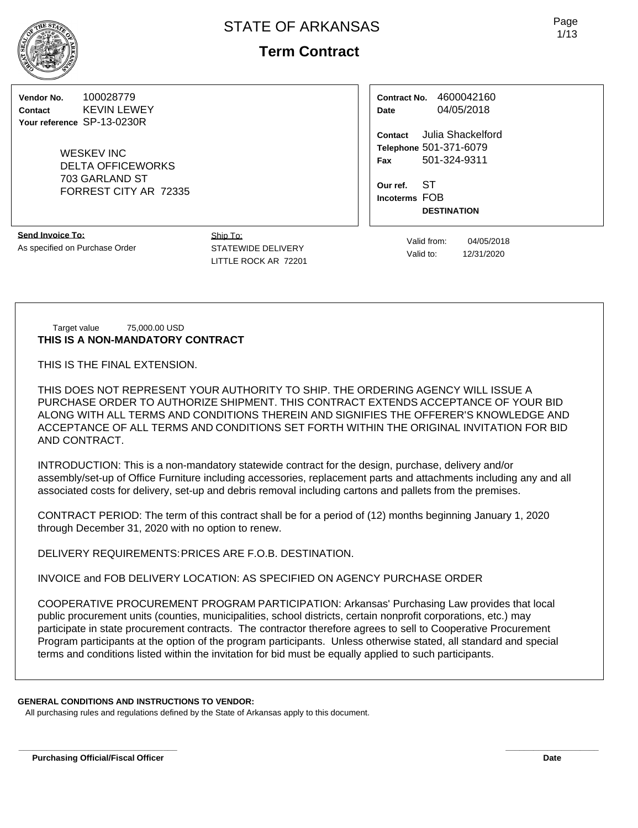# **Term Contract**

**Vendor No.** 100028779 **Contact** KEVIN LEWEY **Your reference** SP-13-0230R

> WESKEV INC DELTA OFFICEWORKS 703 GARLAND ST FORREST CITY AR 72335

**Send Invoice To:** As specified on Purchase Order Ship To: STATEWIDE DELIVERY LITTLE ROCK AR 72201

**Contract No.** 4600042160 **Date** 04/05/2018

**Contact** Julia Shackelford **Telephone** 501-371-6079 **Fax** 501-324-9311

**Our ref.** ST **Incoterms** FOB **DESTINATION**

Target value 75,000.00 USD **THIS IS A NON-MANDATORY CONTRACT**

THIS IS THE FINAL EXTENSION.

THIS DOES NOT REPRESENT YOUR AUTHORITY TO SHIP. THE ORDERING AGENCY WILL ISSUE A PURCHASE ORDER TO AUTHORIZE SHIPMENT. THIS CONTRACT EXTENDS ACCEPTANCE OF YOUR BID ALONG WITH ALL TERMS AND CONDITIONS THEREIN AND SIGNIFIES THE OFFERER'S KNOWLEDGE AND ACCEPTANCE OF ALL TERMS AND CONDITIONS SET FORTH WITHIN THE ORIGINAL INVITATION FOR BID AND CONTRACT.

INTRODUCTION: This is a non-mandatory statewide contract for the design, purchase, delivery and/or assembly/set-up of Office Furniture including accessories, replacement parts and attachments including any and all associated costs for delivery, set-up and debris removal including cartons and pallets from the premises.

CONTRACT PERIOD: The term of this contract shall be for a period of (12) months beginning January 1, 2020 through December 31, 2020 with no option to renew.

DELIVERY REQUIREMENTS:PRICES ARE F.O.B. DESTINATION.

INVOICE and FOB DELIVERY LOCATION: AS SPECIFIED ON AGENCY PURCHASE ORDER

COOPERATIVE PROCUREMENT PROGRAM PARTICIPATION: Arkansas' Purchasing Law provides that local public procurement units (counties, municipalities, school districts, certain nonprofit corporations, etc.) may participate in state procurement contracts. The contractor therefore agrees to sell to Cooperative Procurement Program participants at the option of the program participants. Unless otherwise stated, all standard and special terms and conditions listed within the invitation for bid must be equally applied to such participants.

**\_\_\_\_\_\_\_\_\_\_\_\_\_\_\_\_\_\_\_\_\_\_\_\_\_\_\_\_\_\_\_\_\_\_ \_\_\_\_\_\_\_\_\_\_\_\_\_\_\_\_\_\_\_\_**

## **GENERAL CONDITIONS AND INSTRUCTIONS TO VENDOR:**

All purchasing rules and regulations defined by the State of Arkansas apply to this document.



Valid from: 04/05/2018 Valid to: 12/31/2020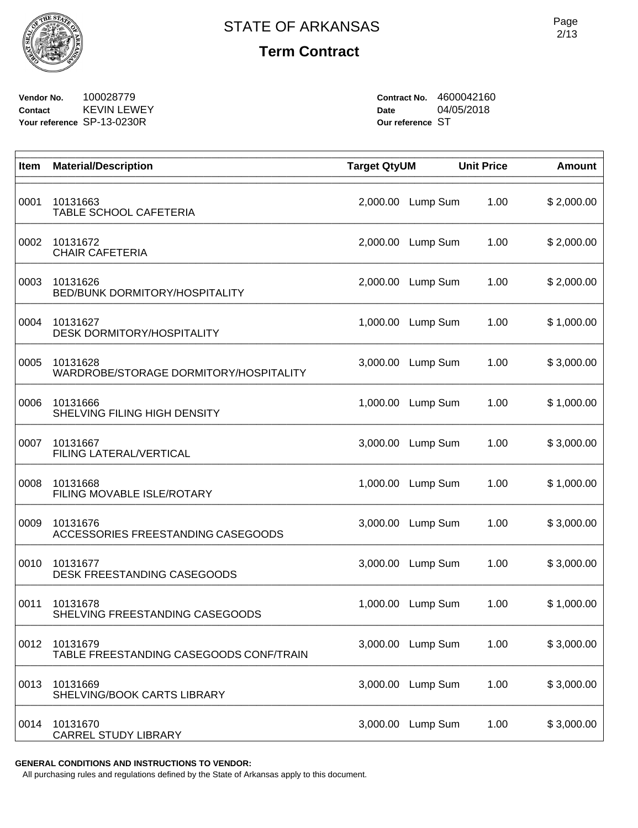

**Vendor No.** 100028779 **Contact** KEVIN LEWEY **Your reference** SP-13-0230R

**Contract No.** 4600042160 **Date** 04/05/2018 **Our reference** ST

| Item | <b>Material/Description</b>                         | <b>Target QtyUM</b> |          | <b>Unit Price</b> | <b>Amount</b> |
|------|-----------------------------------------------------|---------------------|----------|-------------------|---------------|
| 0001 | 10131663<br>TABLE SCHOOL CAFETERIA                  | 2,000.00            | Lump Sum | 1.00              | \$2,000.00    |
| 0002 | 10131672<br><b>CHAIR CAFETERIA</b>                  | 2,000.00            | Lump Sum | 1.00              | \$2,000.00    |
| 0003 | 10131626<br>BED/BUNK DORMITORY/HOSPITALITY          | 2,000.00            | Lump Sum | 1.00              | \$2,000.00    |
| 0004 | 10131627<br><b>DESK DORMITORY/HOSPITALITY</b>       | 1,000.00            | Lump Sum | 1.00              | \$1,000.00    |
| 0005 | 10131628<br>WARDROBE/STORAGE DORMITORY/HOSPITALITY  | 3,000.00            | Lump Sum | 1.00              | \$3,000.00    |
| 0006 | 10131666<br>SHELVING FILING HIGH DENSITY            | 1,000.00            | Lump Sum | 1.00              | \$1,000.00    |
| 0007 | 10131667<br>FILING LATERAL/VERTICAL                 | 3,000.00            | Lump Sum | 1.00              | \$3,000.00    |
| 0008 | 10131668<br>FILING MOVABLE ISLE/ROTARY              | 1,000.00            | Lump Sum | 1.00              | \$1,000.00    |
| 0009 | 10131676<br>ACCESSORIES FREESTANDING CASEGOODS      | 3,000.00            | Lump Sum | 1.00              | \$3,000.00    |
| 0010 | 10131677<br>DESK FREESTANDING CASEGOODS             | 3,000.00            | Lump Sum | 1.00              | \$3,000.00    |
| 0011 | 10131678<br>SHELVING FREESTANDING CASEGOODS         | 1,000.00            | Lump Sum | 1.00              | \$1,000.00    |
| 0012 | 10131679<br>TABLE FREESTANDING CASEGOODS CONF/TRAIN | 3,000.00            | Lump Sum | 1.00              | \$3,000.00    |
| 0013 | 10131669<br>SHELVING/BOOK CARTS LIBRARY             | 3,000.00            | Lump Sum | 1.00              | \$3,000.00    |
| 0014 | 10131670<br><b>CARREL STUDY LIBRARY</b>             | 3,000.00            | Lump Sum | 1.00              | \$3,000.00    |

**GENERAL CONDITIONS AND INSTRUCTIONS TO VENDOR:**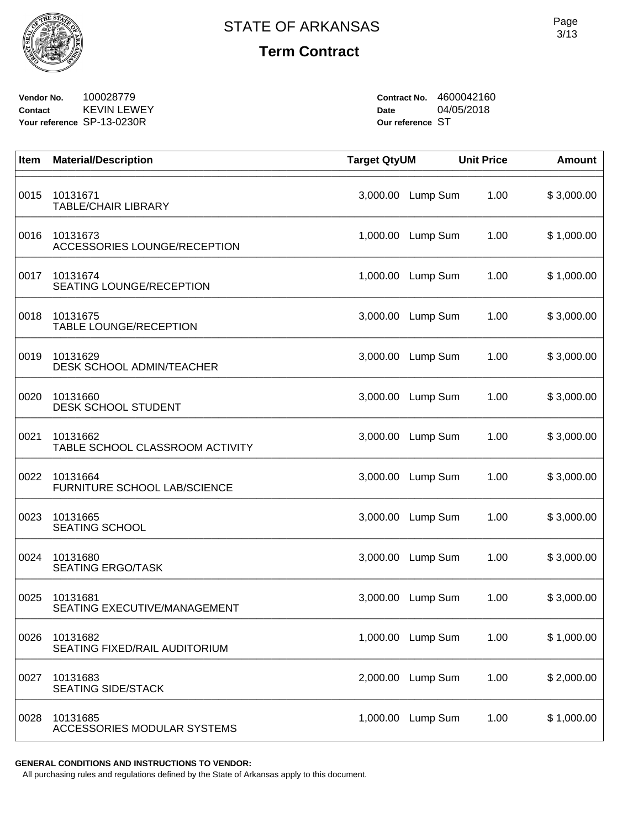

**Vendor No.** 100028779 **Contact** KEVIN LEWEY **Your reference** SP-13-0230R

**Contract No.** 4600042160 **Date** 04/05/2018 **Our reference** ST

| Item | <b>Material/Description</b>                    | <b>Target QtyUM</b> |                   | <b>Unit Price</b> | <b>Amount</b> |
|------|------------------------------------------------|---------------------|-------------------|-------------------|---------------|
| 0015 | 10131671<br><b>TABLE/CHAIR LIBRARY</b>         | 3,000.00            | Lump Sum          | 1.00              | \$3,000.00    |
| 0016 | 10131673<br>ACCESSORIES LOUNGE/RECEPTION       | 1,000.00            | Lump Sum          | 1.00              | \$1,000.00    |
| 0017 | 10131674<br>SEATING LOUNGE/RECEPTION           | 1,000.00            | Lump Sum          | 1.00              | \$1,000.00    |
| 0018 | 10131675<br>TABLE LOUNGE/RECEPTION             | 3,000.00            | Lump Sum          | 1.00              | \$3,000.00    |
| 0019 | 10131629<br>DESK SCHOOL ADMIN/TEACHER          | 3,000.00            | Lump Sum          | 1.00              | \$3,000.00    |
| 0020 | 10131660<br>DESK SCHOOL STUDENT                | 3,000.00            | Lump Sum          | 1.00              | \$3,000.00    |
| 0021 | 10131662<br>TABLE SCHOOL CLASSROOM ACTIVITY    | 3,000.00            | Lump Sum          | 1.00              | \$3,000.00    |
| 0022 | 10131664<br>FURNITURE SCHOOL LAB/SCIENCE       | 3,000.00            | Lump Sum          | 1.00              | \$3,000.00    |
| 0023 | 10131665<br><b>SEATING SCHOOL</b>              | 3,000.00            | Lump Sum          | 1.00              | \$3,000.00    |
| 0024 | 10131680<br><b>SEATING ERGO/TASK</b>           | 3,000.00            | Lump Sum          | 1.00              | \$3,000.00    |
| 0025 | 10131681<br>SEATING EXECUTIVE/MANAGEMENT       | 3,000.00            | Lump Sum          | 1.00              | \$3,000.00    |
| 0026 | 10131682<br>SEATING FIXED/RAIL AUDITORIUM      |                     | 1,000.00 Lump Sum | 1.00              | \$1,000.00    |
| 0027 | 10131683<br><b>SEATING SIDE/STACK</b>          | 2,000.00            | Lump Sum          | 1.00              | \$2,000.00    |
| 0028 | 10131685<br><b>ACCESSORIES MODULAR SYSTEMS</b> | 1,000.00            | Lump Sum          | 1.00              | \$1,000.00    |

**GENERAL CONDITIONS AND INSTRUCTIONS TO VENDOR:**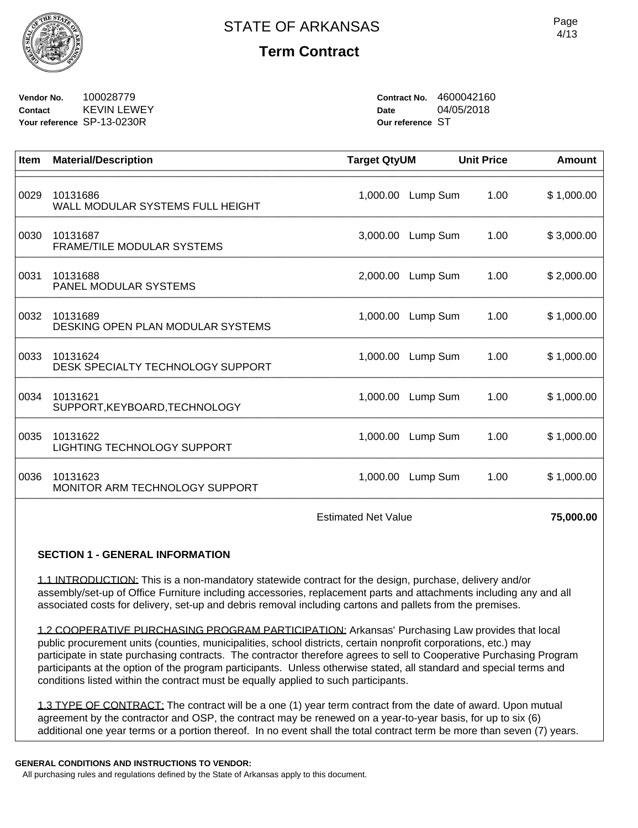

**Vendor No.** 100028779 **Contact** KEVIN LEWEY **Your reference** SP-13-0230R

**Contract No.** 4600042160 **Date** 04/05/2018 **Our reference** ST

| Item | <b>Material/Description</b>                    | <b>Target QtyUM</b> |          | <b>Unit Price</b> | Amount     |
|------|------------------------------------------------|---------------------|----------|-------------------|------------|
| 0029 | 10131686<br>WALL MODULAR SYSTEMS FULL HEIGHT   | 1,000.00            | Lump Sum | 1.00              | \$1,000.00 |
| 0030 | 10131687<br><b>FRAME/TILE MODULAR SYSTEMS</b>  | 3,000.00            | Lump Sum | 1.00              | \$3,000.00 |
| 0031 | 10131688<br>PANEL MODULAR SYSTEMS              | 2,000.00            | Lump Sum | 1.00              | \$2,000.00 |
| 0032 | 10131689<br>DESKING OPEN PLAN MODULAR SYSTEMS  | 1,000.00            | Lump Sum | 1.00              | \$1,000.00 |
| 0033 | 10131624<br>DESK SPECIALTY TECHNOLOGY SUPPORT  | 1,000.00            | Lump Sum | 1.00              | \$1,000.00 |
| 0034 | 10131621<br>SUPPORT, KEYBOARD, TECHNOLOGY      | 1,000.00            | Lump Sum | 1.00              | \$1,000.00 |
| 0035 | 10131622<br><b>LIGHTING TECHNOLOGY SUPPORT</b> | 1,000.00            | Lump Sum | 1.00              | \$1,000.00 |
| 0036 | 10131623<br>MONITOR ARM TECHNOLOGY SUPPORT     | 1,000.00            | Lump Sum | 1.00              | \$1,000.00 |
|      |                                                |                     |          |                   |            |

Estimated Net Value **75,000.00** 

## **SECTION 1 - GENERAL INFORMATION**

1.1 INTRODUCTION: This is a non-mandatory statewide contract for the design, purchase, delivery and/or assembly/set-up of Office Furniture including accessories, replacement parts and attachments including any and all associated costs for delivery, set-up and debris removal including cartons and pallets from the premises.

1.2 COOPERATIVE PURCHASING PROGRAM PARTICIPATION: Arkansas' Purchasing Law provides that local public procurement units (counties, municipalities, school districts, certain nonprofit corporations, etc.) may participate in state purchasing contracts. The contractor therefore agrees to sell to Cooperative Purchasing Program participants at the option of the program participants. Unless otherwise stated, all standard and special terms and conditions listed within the contract must be equally applied to such participants.

1.3 TYPE OF CONTRACT: The contract will be a one (1) year term contract from the date of award. Upon mutual agreement by the contractor and OSP, the contract may be renewed on a year-to-year basis, for up to six (6) additional one year terms or a portion thereof. In no event shall the total contract term be more than seven (7) years.

#### **GENERAL CONDITIONS AND INSTRUCTIONS TO VENDOR:**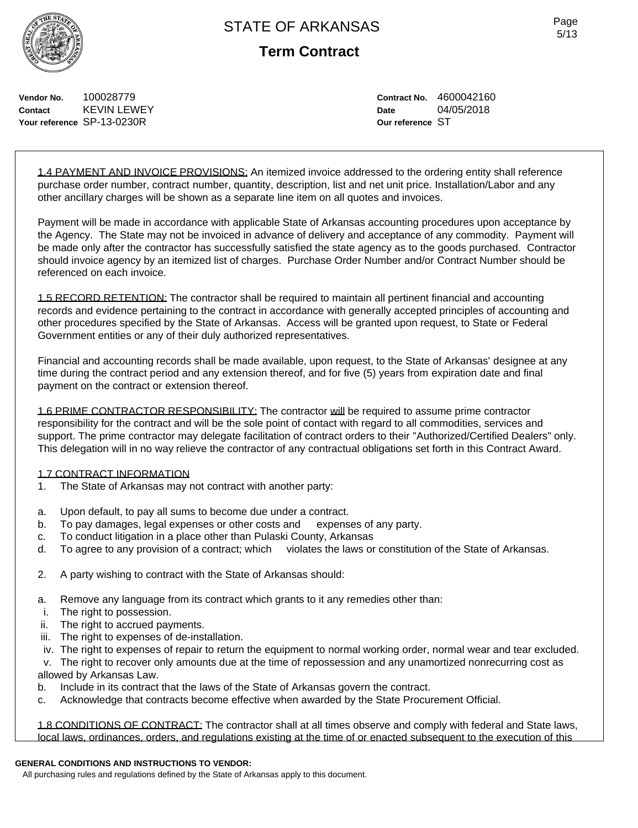

Page 5/13

**Vendor No.** 100028779 **Contact** KEVIN LEWEY **Your reference** SP-13-0230R

**Contract No.** 4600042160 **Date** 04/05/2018 **Our reference** ST

1.4 PAYMENT AND INVOICE PROVISIONS: An itemized invoice addressed to the ordering entity shall reference purchase order number, contract number, quantity, description, list and net unit price. Installation/Labor and any other ancillary charges will be shown as a separate line item on all quotes and invoices.

Payment will be made in accordance with applicable State of Arkansas accounting procedures upon acceptance by the Agency. The State may not be invoiced in advance of delivery and acceptance of any commodity. Payment will be made only after the contractor has successfully satisfied the state agency as to the goods purchased. Contractor should invoice agency by an itemized list of charges. Purchase Order Number and/or Contract Number should be referenced on each invoice.

1.5 RECORD RETENTION: The contractor shall be required to maintain all pertinent financial and accounting records and evidence pertaining to the contract in accordance with generally accepted principles of accounting and other procedures specified by the State of Arkansas. Access will be granted upon request, to State or Federal Government entities or any of their duly authorized representatives.

Financial and accounting records shall be made available, upon request, to the State of Arkansas' designee at any time during the contract period and any extension thereof, and for five (5) years from expiration date and final payment on the contract or extension thereof.

1.6 PRIME CONTRACTOR RESPONSIBILITY: The contractor will be required to assume prime contractor responsibility for the contract and will be the sole point of contact with regard to all commodities, services and support. The prime contractor may delegate facilitation of contract orders to their "Authorized/Certified Dealers" only. This delegation will in no way relieve the contractor of any contractual obligations set forth in this Contract Award.

#### 1.7 CONTRACT INFORMATION

- 1. The State of Arkansas may not contract with another party:
- a. Upon default, to pay all sums to become due under a contract.
- b. To pay damages, legal expenses or other costs and expenses of any party.
- c. To conduct litigation in a place other than Pulaski County, Arkansas
- d. To agree to any provision of a contract; which violates the laws or constitution of the State of Arkansas.
- 2. A party wishing to contract with the State of Arkansas should:
- a. Remove any language from its contract which grants to it any remedies other than:
- i. The right to possession.
- ii. The right to accrued payments.
- iii. The right to expenses of de-installation.
- iv. The right to expenses of repair to return the equipment to normal working order, normal wear and tear excluded.

 v. The right to recover only amounts due at the time of repossession and any unamortized nonrecurring cost as allowed by Arkansas Law.

- b. Include in its contract that the laws of the State of Arkansas govern the contract.
- c. Acknowledge that contracts become effective when awarded by the State Procurement Official.

1.8 CONDITIONS OF CONTRACT: The contractor shall at all times observe and comply with federal and State laws, local laws, ordinances, orders, and regulations existing at the time of or enacted subsequent to the execution of this

#### **GENERAL CONDITIONS AND INSTRUCTIONS TO VENDOR:**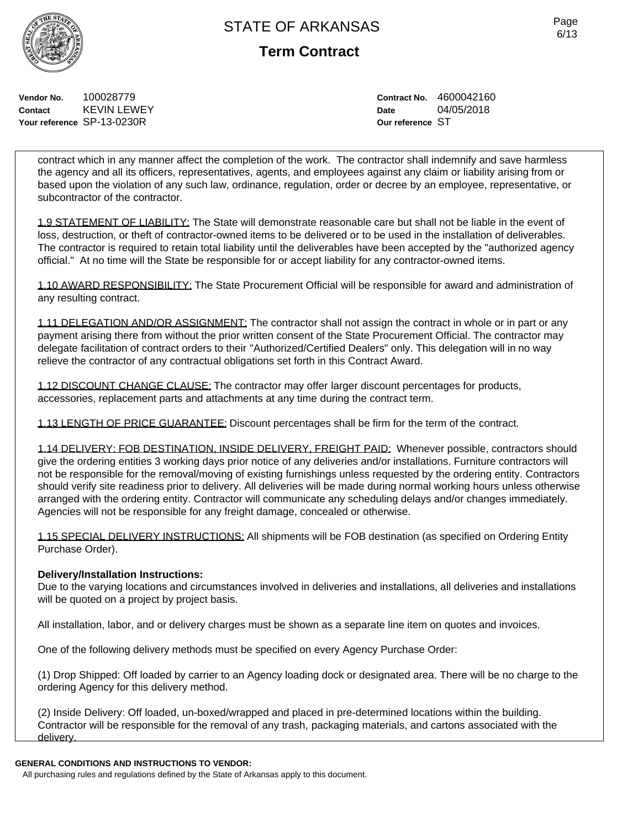Page 6/13

**Vendor No.** 100028779 **Contact** KEVIN LEWEY **Your reference** SP-13-0230R

**Contract No.** 4600042160 **Date** 04/05/2018 **Our reference** ST

contract which in any manner affect the completion of the work. The contractor shall indemnify and save harmless the agency and all its officers, representatives, agents, and employees against any claim or liability arising from or based upon the violation of any such law, ordinance, regulation, order or decree by an employee, representative, or subcontractor of the contractor.

1.9 STATEMENT OF LIABILITY: The State will demonstrate reasonable care but shall not be liable in the event of loss, destruction, or theft of contractor-owned items to be delivered or to be used in the installation of deliverables. The contractor is required to retain total liability until the deliverables have been accepted by the "authorized agency official." At no time will the State be responsible for or accept liability for any contractor-owned items.

1.10 AWARD RESPONSIBILITY: The State Procurement Official will be responsible for award and administration of any resulting contract.

1.11 DELEGATION AND/OR ASSIGNMENT: The contractor shall not assign the contract in whole or in part or any payment arising there from without the prior written consent of the State Procurement Official. The contractor may delegate facilitation of contract orders to their "Authorized/Certified Dealers" only. This delegation will in no way relieve the contractor of any contractual obligations set forth in this Contract Award.

1.12 DISCOUNT CHANGE CLAUSE: The contractor may offer larger discount percentages for products, accessories, replacement parts and attachments at any time during the contract term.

1.13 LENGTH OF PRICE GUARANTEE: Discount percentages shall be firm for the term of the contract.

1.14 DELIVERY: FOB DESTINATION, INSIDE DELIVERY, FREIGHT PAID: Whenever possible, contractors should give the ordering entities 3 working days prior notice of any deliveries and/or installations. Furniture contractors will not be responsible for the removal/moving of existing furnishings unless requested by the ordering entity. Contractors should verify site readiness prior to delivery. All deliveries will be made during normal working hours unless otherwise arranged with the ordering entity. Contractor will communicate any scheduling delays and/or changes immediately. Agencies will not be responsible for any freight damage, concealed or otherwise.

1.15 SPECIAL DELIVERY INSTRUCTIONS: All shipments will be FOB destination (as specified on Ordering Entity Purchase Order).

## **Delivery/Installation Instructions:**

Due to the varying locations and circumstances involved in deliveries and installations, all deliveries and installations will be quoted on a project by project basis.

All installation, labor, and or delivery charges must be shown as a separate line item on quotes and invoices.

One of the following delivery methods must be specified on every Agency Purchase Order:

(1) Drop Shipped: Off loaded by carrier to an Agency loading dock or designated area. There will be no charge to the ordering Agency for this delivery method.

(2) Inside Delivery: Off loaded, un-boxed/wrapped and placed in pre-determined locations within the building. Contractor will be responsible for the removal of any trash, packaging materials, and cartons associated with the delivery.

## **GENERAL CONDITIONS AND INSTRUCTIONS TO VENDOR:**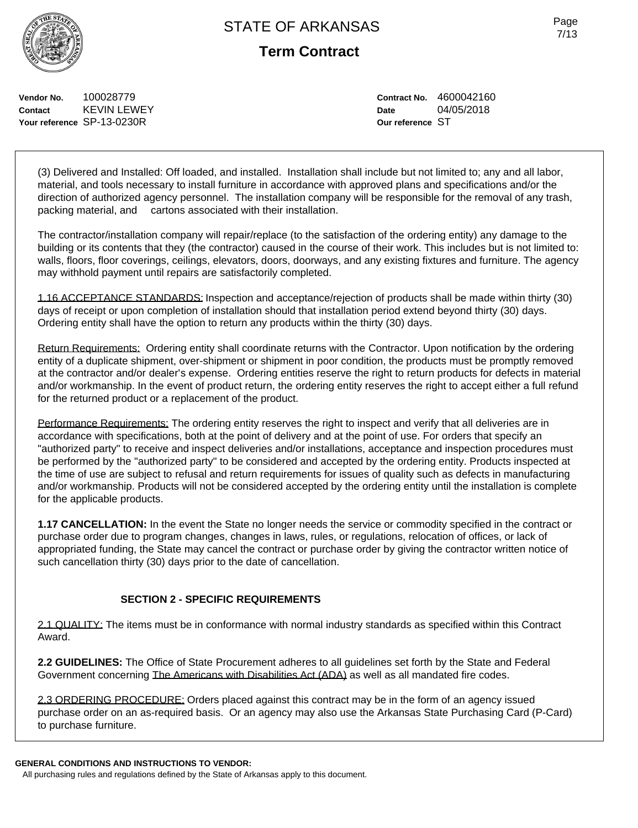Page 7/13

**Vendor No.** 100028779 **Contact** KEVIN LEWEY **Your reference** SP-13-0230R

**Contract No.** 4600042160 **Date** 04/05/2018 **Our reference** ST

(3) Delivered and Installed: Off loaded, and installed. Installation shall include but not limited to; any and all labor, material, and tools necessary to install furniture in accordance with approved plans and specifications and/or the direction of authorized agency personnel. The installation company will be responsible for the removal of any trash, packing material, and cartons associated with their installation.

The contractor/installation company will repair/replace (to the satisfaction of the ordering entity) any damage to the building or its contents that they (the contractor) caused in the course of their work. This includes but is not limited to: walls, floors, floor coverings, ceilings, elevators, doors, doorways, and any existing fixtures and furniture. The agency may withhold payment until repairs are satisfactorily completed.

1.16 ACCEPTANCE STANDARDS: Inspection and acceptance/rejection of products shall be made within thirty (30) days of receipt or upon completion of installation should that installation period extend beyond thirty (30) days. Ordering entity shall have the option to return any products within the thirty (30) days.

Return Requirements: Ordering entity shall coordinate returns with the Contractor. Upon notification by the ordering entity of a duplicate shipment, over-shipment or shipment in poor condition, the products must be promptly removed at the contractor and/or dealer's expense. Ordering entities reserve the right to return products for defects in material and/or workmanship. In the event of product return, the ordering entity reserves the right to accept either a full refund for the returned product or a replacement of the product.

Performance Requirements: The ordering entity reserves the right to inspect and verify that all deliveries are in accordance with specifications, both at the point of delivery and at the point of use. For orders that specify an "authorized party" to receive and inspect deliveries and/or installations, acceptance and inspection procedures must be performed by the "authorized party" to be considered and accepted by the ordering entity. Products inspected at the time of use are subject to refusal and return requirements for issues of quality such as defects in manufacturing and/or workmanship. Products will not be considered accepted by the ordering entity until the installation is complete for the applicable products.

**1.17 CANCELLATION:** In the event the State no longer needs the service or commodity specified in the contract or purchase order due to program changes, changes in laws, rules, or regulations, relocation of offices, or lack of appropriated funding, the State may cancel the contract or purchase order by giving the contractor written notice of such cancellation thirty (30) days prior to the date of cancellation.

## **SECTION 2 - SPECIFIC REQUIREMENTS**

2.1 QUALITY: The items must be in conformance with normal industry standards as specified within this Contract Award.

**2.2 GUIDELINES:** The Office of State Procurement adheres to all guidelines set forth by the State and Federal Government concerning The Americans with Disabilities Act (ADA) as well as all mandated fire codes.

2.3 ORDERING PROCEDURE: Orders placed against this contract may be in the form of an agency issued purchase order on an as-required basis. Or an agency may also use the Arkansas State Purchasing Card (P-Card) to purchase furniture.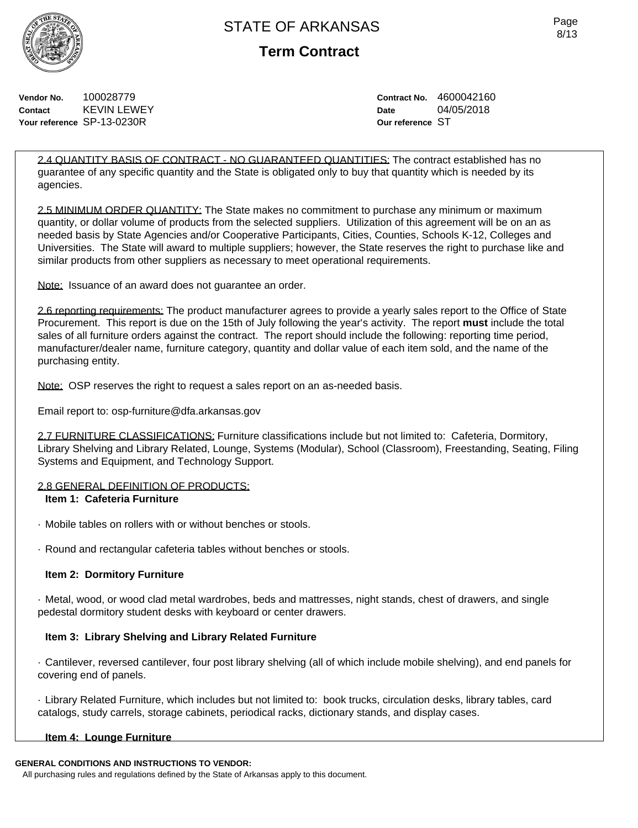**Term Contract**

Page 8/13

**Vendor No.** 100028779 **Contact** KEVIN LEWEY **Your reference** SP-13-0230R

**Contract No.** 4600042160 **Date** 04/05/2018 **Our reference** ST

2.4 QUANTITY BASIS OF CONTRACT - NO GUARANTEED QUANTITIES: The contract established has no guarantee of any specific quantity and the State is obligated only to buy that quantity which is needed by its agencies.

2.5 MINIMUM ORDER QUANTITY: The State makes no commitment to purchase any minimum or maximum quantity, or dollar volume of products from the selected suppliers. Utilization of this agreement will be on an as needed basis by State Agencies and/or Cooperative Participants, Cities, Counties, Schools K-12, Colleges and Universities. The State will award to multiple suppliers; however, the State reserves the right to purchase like and similar products from other suppliers as necessary to meet operational requirements.

Note: Issuance of an award does not guarantee an order.

2.6 reporting requirements: The product manufacturer agrees to provide a yearly sales report to the Office of State Procurement. This report is due on the 15th of July following the year's activity. The report **must** include the total sales of all furniture orders against the contract. The report should include the following: reporting time period, manufacturer/dealer name, furniture category, quantity and dollar value of each item sold, and the name of the purchasing entity.

Note: OSP reserves the right to request a sales report on an as-needed basis.

Email report to: osp-furniture@dfa.arkansas.gov

2.7 FURNITURE CLASSIFICATIONS: Furniture classifications include but not limited to: Cafeteria, Dormitory, Library Shelving and Library Related, Lounge, Systems (Modular), School (Classroom), Freestanding, Seating, Filing Systems and Equipment, and Technology Support.

## 2.8 GENERAL DEFINITION OF PRODUCTS:

## **Item 1: Cafeteria Furniture**

- · Mobile tables on rollers with or without benches or stools.
- · Round and rectangular cafeteria tables without benches or stools.

## **Item 2: Dormitory Furniture**

· Metal, wood, or wood clad metal wardrobes, beds and mattresses, night stands, chest of drawers, and single pedestal dormitory student desks with keyboard or center drawers.

## **Item 3: Library Shelving and Library Related Furniture**

· Cantilever, reversed cantilever, four post library shelving (all of which include mobile shelving), and end panels for covering end of panels.

· Library Related Furniture, which includes but not limited to: book trucks, circulation desks, library tables, card catalogs, study carrels, storage cabinets, periodical racks, dictionary stands, and display cases.

## **Item 4: Lounge Furniture**

#### **GENERAL CONDITIONS AND INSTRUCTIONS TO VENDOR:**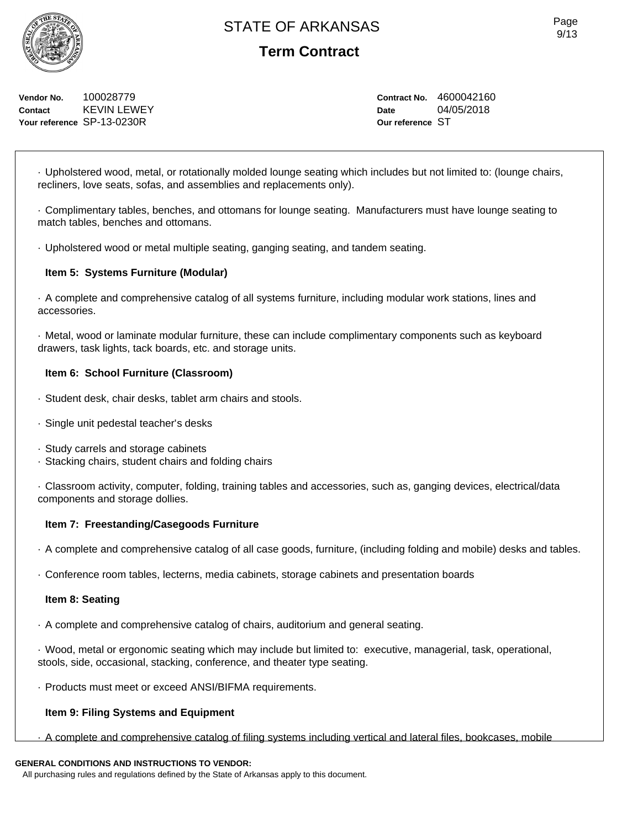**Vendor No.** 100028779 **Contact** KEVIN LEWEY **Your reference** SP-13-0230R

# **Term Contract**

**Contract No.** 4600042160 **Date** 04/05/2018 **Our reference** ST

· Upholstered wood, metal, or rotationally molded lounge seating which includes but not limited to: (lounge chairs, recliners, love seats, sofas, and assemblies and replacements only).

· Complimentary tables, benches, and ottomans for lounge seating. Manufacturers must have lounge seating to match tables, benches and ottomans.

· Upholstered wood or metal multiple seating, ganging seating, and tandem seating.

## **Item 5: Systems Furniture (Modular)**

· A complete and comprehensive catalog of all systems furniture, including modular work stations, lines and accessories.

· Metal, wood or laminate modular furniture, these can include complimentary components such as keyboard drawers, task lights, tack boards, etc. and storage units.

## **Item 6: School Furniture (Classroom)**

- · Student desk, chair desks, tablet arm chairs and stools.
- · Single unit pedestal teacher's desks
- · Study carrels and storage cabinets
- · Stacking chairs, student chairs and folding chairs

· Classroom activity, computer, folding, training tables and accessories, such as, ganging devices, electrical/data components and storage dollies.

## **Item 7: Freestanding/Casegoods Furniture**

· A complete and comprehensive catalog of all case goods, furniture, (including folding and mobile) desks and tables.

· Conference room tables, lecterns, media cabinets, storage cabinets and presentation boards

#### **Item 8: Seating**

· A complete and comprehensive catalog of chairs, auditorium and general seating.

· Wood, metal or ergonomic seating which may include but limited to: executive, managerial, task, operational, stools, side, occasional, stacking, conference, and theater type seating.

· Products must meet or exceed ANSI/BIFMA requirements.

## **Item 9: Filing Systems and Equipment**

· A complete and comprehensive catalog of filing systems including vertical and lateral files, bookcases, mobile

## **GENERAL CONDITIONS AND INSTRUCTIONS TO VENDOR:**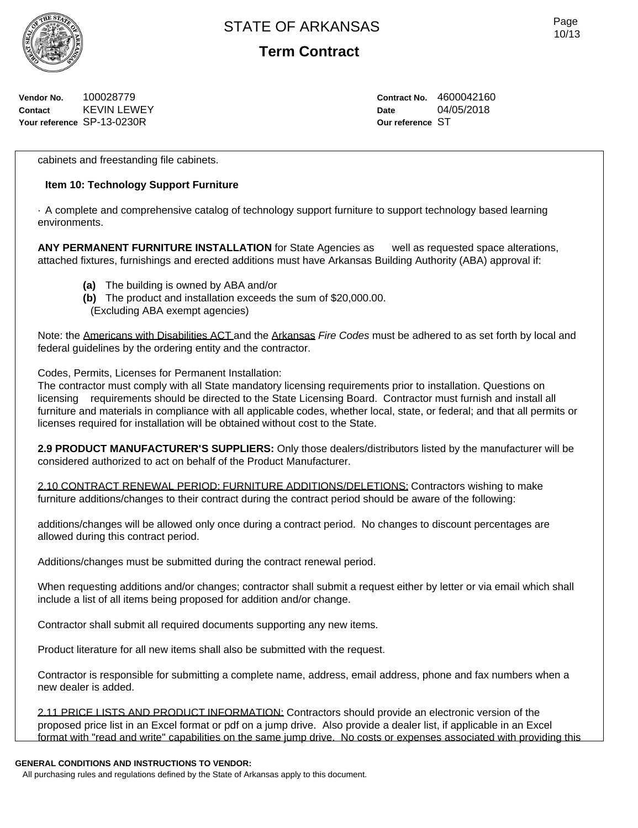

**Term Contract**

**Vendor No.** 100028779 **Contact** KEVIN LEWEY **Your reference** SP-13-0230R

**Contract No.** 4600042160 **Date** 04/05/2018 **Our reference** ST

cabinets and freestanding file cabinets.

## **Item 10: Technology Support Furniture**

· A complete and comprehensive catalog of technology support furniture to support technology based learning environments.

**ANY PERMANENT FURNITURE INSTALLATION** for State Agencies as well as requested space alterations, attached fixtures, furnishings and erected additions must have Arkansas Building Authority (ABA) approval if:

- **(a)** The building is owned by ABA and/or
- **(b)** The product and installation exceeds the sum of \$20,000.00.
- (Excluding ABA exempt agencies)

Note: the Americans with Disabilities ACT and the Arkansas *Fire Codes* must be adhered to as set forth by local and federal guidelines by the ordering entity and the contractor.

Codes, Permits, Licenses for Permanent Installation:

The contractor must comply with all State mandatory licensing requirements prior to installation. Questions on licensing requirements should be directed to the State Licensing Board. Contractor must furnish and install all furniture and materials in compliance with all applicable codes, whether local, state, or federal; and that all permits or licenses required for installation will be obtained without cost to the State.

**2.9 PRODUCT MANUFACTURER'S SUPPLIERS:** Only those dealers/distributors listed by the manufacturer will be considered authorized to act on behalf of the Product Manufacturer.

2.10 CONTRACT RENEWAL PERIOD: FURNITURE ADDITIONS/DELETIONS: Contractors wishing to make furniture additions/changes to their contract during the contract period should be aware of the following:

additions/changes will be allowed only once during a contract period. No changes to discount percentages are allowed during this contract period.

Additions/changes must be submitted during the contract renewal period.

When requesting additions and/or changes; contractor shall submit a request either by letter or via email which shall include a list of all items being proposed for addition and/or change.

Contractor shall submit all required documents supporting any new items.

Product literature for all new items shall also be submitted with the request.

Contractor is responsible for submitting a complete name, address, email address, phone and fax numbers when a new dealer is added.

2.11 PRICE LISTS AND PRODUCT INFORMATION: Contractors should provide an electronic version of the proposed price list in an Excel format or pdf on a jump drive. Also provide a dealer list, if applicable in an Excel format with "read and write" capabilities on the same jump drive. No costs or expenses associated with providing this

#### **GENERAL CONDITIONS AND INSTRUCTIONS TO VENDOR:**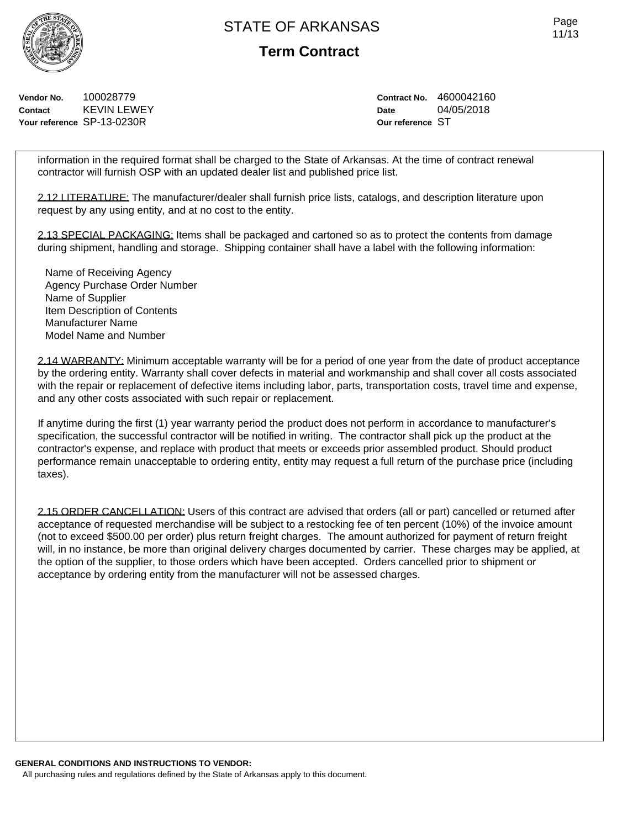Page 11/13

**Term Contract**

**Vendor No.** 100028779 **Contact** KEVIN LEWEY **Your reference** SP-13-0230R

**Contract No.** 4600042160 **Date** 04/05/2018 **Our reference** ST

information in the required format shall be charged to the State of Arkansas. At the time of contract renewal contractor will furnish OSP with an updated dealer list and published price list.

2.12 LITERATURE: The manufacturer/dealer shall furnish price lists, catalogs, and description literature upon request by any using entity, and at no cost to the entity.

2.13 SPECIAL PACKAGING: Items shall be packaged and cartoned so as to protect the contents from damage during shipment, handling and storage. Shipping container shall have a label with the following information:

Name of Receiving Agency Agency Purchase Order Number Name of Supplier Item Description of Contents Manufacturer Name Model Name and Number

2.14 WARRANTY: Minimum acceptable warranty will be for a period of one year from the date of product acceptance by the ordering entity. Warranty shall cover defects in material and workmanship and shall cover all costs associated with the repair or replacement of defective items including labor, parts, transportation costs, travel time and expense, and any other costs associated with such repair or replacement.

If anytime during the first (1) year warranty period the product does not perform in accordance to manufacturer's specification, the successful contractor will be notified in writing. The contractor shall pick up the product at the contractor's expense, and replace with product that meets or exceeds prior assembled product. Should product performance remain unacceptable to ordering entity, entity may request a full return of the purchase price (including taxes).

2.15 ORDER CANCELLATION: Users of this contract are advised that orders (all or part) cancelled or returned after acceptance of requested merchandise will be subject to a restocking fee of ten percent (10%) of the invoice amount (not to exceed \$500.00 per order) plus return freight charges. The amount authorized for payment of return freight will, in no instance, be more than original delivery charges documented by carrier. These charges may be applied, at the option of the supplier, to those orders which have been accepted. Orders cancelled prior to shipment or acceptance by ordering entity from the manufacturer will not be assessed charges.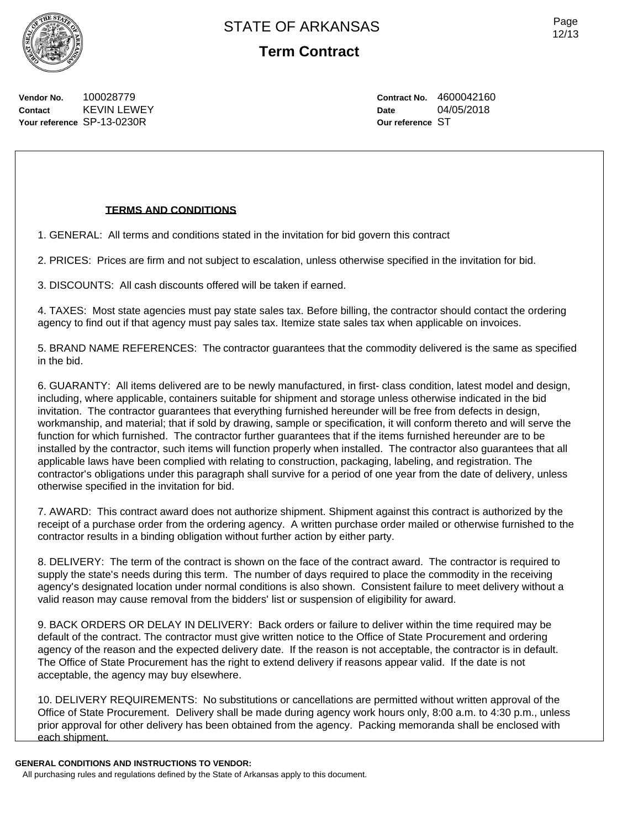Page 12/13

**Vendor No.** 100028779 **Contact** KEVIN LEWEY **Your reference** SP-13-0230R

**Contract No.** 4600042160 **Date** 04/05/2018 **Our reference** ST

## **TERMS AND CONDITIONS**

1. GENERAL: All terms and conditions stated in the invitation for bid govern this contract

2. PRICES: Prices are firm and not subject to escalation, unless otherwise specified in the invitation for bid.

3. DISCOUNTS: All cash discounts offered will be taken if earned.

4. TAXES: Most state agencies must pay state sales tax. Before billing, the contractor should contact the ordering agency to find out if that agency must pay sales tax. Itemize state sales tax when applicable on invoices.

5. BRAND NAME REFERENCES: The contractor guarantees that the commodity delivered is the same as specified in the bid.

6. GUARANTY: All items delivered are to be newly manufactured, in first- class condition, latest model and design, including, where applicable, containers suitable for shipment and storage unless otherwise indicated in the bid invitation. The contractor guarantees that everything furnished hereunder will be free from defects in design, workmanship, and material; that if sold by drawing, sample or specification, it will conform thereto and will serve the function for which furnished. The contractor further guarantees that if the items furnished hereunder are to be installed by the contractor, such items will function properly when installed. The contractor also guarantees that all applicable laws have been complied with relating to construction, packaging, labeling, and registration. The contractor's obligations under this paragraph shall survive for a period of one year from the date of delivery, unless otherwise specified in the invitation for bid.

7. AWARD: This contract award does not authorize shipment. Shipment against this contract is authorized by the receipt of a purchase order from the ordering agency. A written purchase order mailed or otherwise furnished to the contractor results in a binding obligation without further action by either party.

8. DELIVERY: The term of the contract is shown on the face of the contract award. The contractor is required to supply the state's needs during this term. The number of days required to place the commodity in the receiving agency's designated location under normal conditions is also shown. Consistent failure to meet delivery without a valid reason may cause removal from the bidders' list or suspension of eligibility for award.

9. BACK ORDERS OR DELAY IN DELIVERY: Back orders or failure to deliver within the time required may be default of the contract. The contractor must give written notice to the Office of State Procurement and ordering agency of the reason and the expected delivery date. If the reason is not acceptable, the contractor is in default. The Office of State Procurement has the right to extend delivery if reasons appear valid. If the date is not acceptable, the agency may buy elsewhere.

10. DELIVERY REQUIREMENTS: No substitutions or cancellations are permitted without written approval of the Office of State Procurement. Delivery shall be made during agency work hours only, 8:00 a.m. to 4:30 p.m., unless prior approval for other delivery has been obtained from the agency. Packing memoranda shall be enclosed with each shipment.

#### **GENERAL CONDITIONS AND INSTRUCTIONS TO VENDOR:**